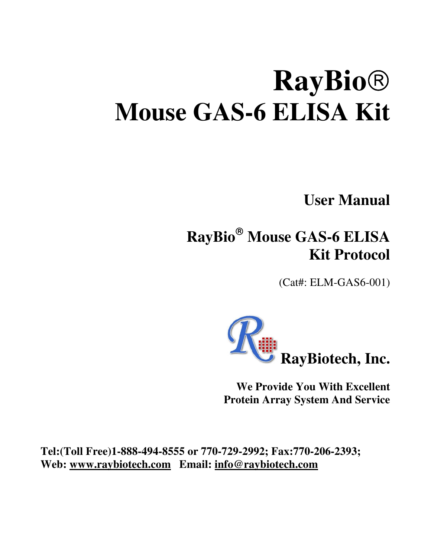# **RayBio Mouse GAS-6 ELISA Kit**

**User Manual** 

# **RayBio Mouse GAS-6 ELISA Kit Protocol**

(Cat#: ELM-GAS6-001)



**We Provide You With Excellent Protein Array System And Service** 

**Tel:(Toll Free)1-888-494-8555 or 770-729-2992; Fax:770-206-2393; Web: www.raybiotech.com Email: info@raybiotech.com**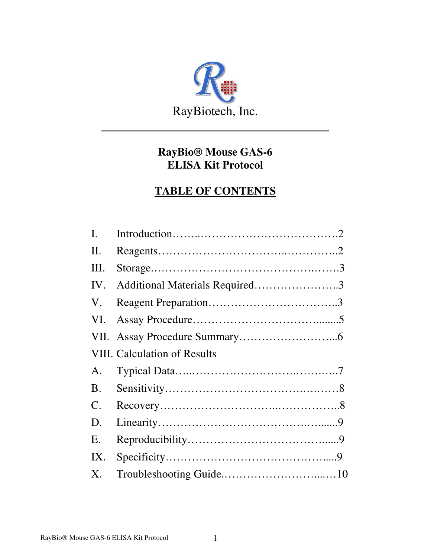

### **RayBio Mouse GAS-6 ELISA Kit Protocol**

#### **TABLE OF CONTENTS**

| $\mathbf{I}$ . |                                |  |
|----------------|--------------------------------|--|
| П.             |                                |  |
| Ш.             |                                |  |
| IV.            | Additional Materials Required3 |  |
| V.             |                                |  |
| VI.            |                                |  |
|                |                                |  |
|                | VIII. Calculation of Results   |  |
| A.             |                                |  |
| <b>B.</b>      |                                |  |
| $\mathsf{C}.$  |                                |  |
| D.             |                                |  |
| E.             |                                |  |
| IX.            |                                |  |
| $X_{\cdot}$    |                                |  |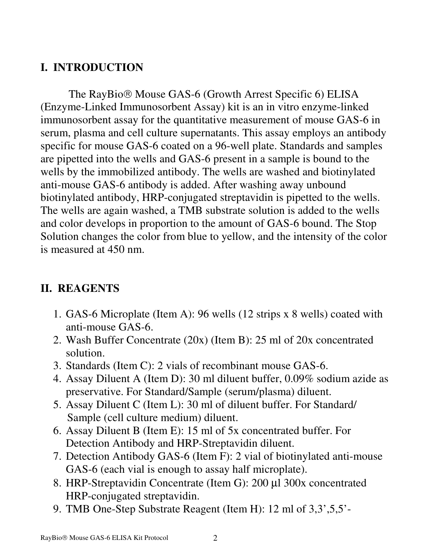# **I. INTRODUCTION**

The RayBio<sup>®</sup> Mouse GAS-6 (Growth Arrest Specific 6) ELISA (Enzyme-Linked Immunosorbent Assay) kit is an in vitro enzyme-linked immunosorbent assay for the quantitative measurement of mouse GAS-6 in serum, plasma and cell culture supernatants. This assay employs an antibody specific for mouse GAS-6 coated on a 96-well plate. Standards and samples are pipetted into the wells and GAS-6 present in a sample is bound to the wells by the immobilized antibody. The wells are washed and biotinylated anti-mouse GAS-6 antibody is added. After washing away unbound biotinylated antibody, HRP-conjugated streptavidin is pipetted to the wells. The wells are again washed, a TMB substrate solution is added to the wells and color develops in proportion to the amount of GAS-6 bound. The Stop Solution changes the color from blue to yellow, and the intensity of the color is measured at 450 nm.

# **II. REAGENTS**

- 1. GAS-6 Microplate (Item A): 96 wells (12 strips x 8 wells) coated with anti-mouse GAS-6.
- 2. Wash Buffer Concentrate (20x) (Item B): 25 ml of 20x concentrated solution.
- 3. Standards (Item C): 2 vials of recombinant mouse GAS-6.
- 4. Assay Diluent A (Item D): 30 ml diluent buffer, 0.09% sodium azide as preservative. For Standard/Sample (serum/plasma) diluent.
- 5. Assay Diluent C (Item L): 30 ml of diluent buffer. For Standard/ Sample (cell culture medium) diluent.
- 6. Assay Diluent B (Item E): 15 ml of 5x concentrated buffer. For Detection Antibody and HRP-Streptavidin diluent.
- 7. Detection Antibody GAS-6 (Item F): 2 vial of biotinylated anti-mouse GAS-6 (each vial is enough to assay half microplate).
- 8. HRP-Streptavidin Concentrate (Item G): 200 µl 300x concentrated HRP-conjugated streptavidin.
- 9. TMB One-Step Substrate Reagent (Item H): 12 ml of 3,3',5,5'-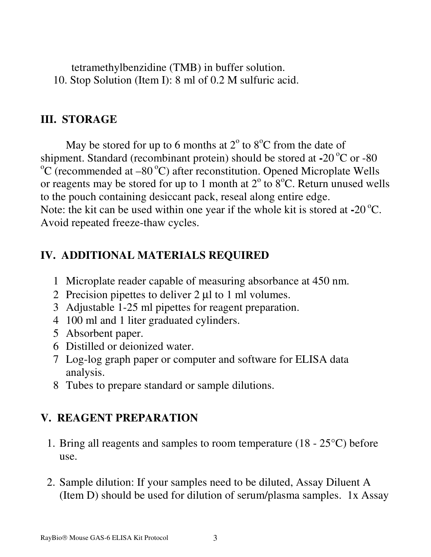tetramethylbenzidine (TMB) in buffer solution. 10. Stop Solution (Item I): 8 ml of 0.2 M sulfuric acid.

#### **III. STORAGE**

May be stored for up to 6 months at  $2^{\circ}$  to  $8^{\circ}$ C from the date of shipment. Standard (recombinant protein) should be stored at  $-20^{\circ}$ C or  $-80$  $\rm{^{\circ}C}$  (recommended at –80  $\rm{^{\circ}C}$ ) after reconstitution. Opened Microplate Wells or reagents may be stored for up to 1 month at  $2^{\circ}$  to  $8^{\circ}$ C. Return unused wells to the pouch containing desiccant pack, reseal along entire edge. Note: the kit can be used within one year if the whole kit is stored at **-**20<sup>o</sup>C. Avoid repeated freeze-thaw cycles.

#### **IV. ADDITIONAL MATERIALS REQUIRED**

- 1 Microplate reader capable of measuring absorbance at 450 nm.
- 2 Precision pipettes to deliver 2 µl to 1 ml volumes.
- 3 Adjustable 1-25 ml pipettes for reagent preparation.
- 4 100 ml and 1 liter graduated cylinders.
- 5 Absorbent paper.
- 6 Distilled or deionized water.
- 7 Log-log graph paper or computer and software for ELISA data analysis.
- 8 Tubes to prepare standard or sample dilutions.

# **V. REAGENT PREPARATION**

- 1. Bring all reagents and samples to room temperature (18 25°C) before use.
- 2. Sample dilution: If your samples need to be diluted, Assay Diluent A (Item D) should be used for dilution of serum/plasma samples. 1x Assay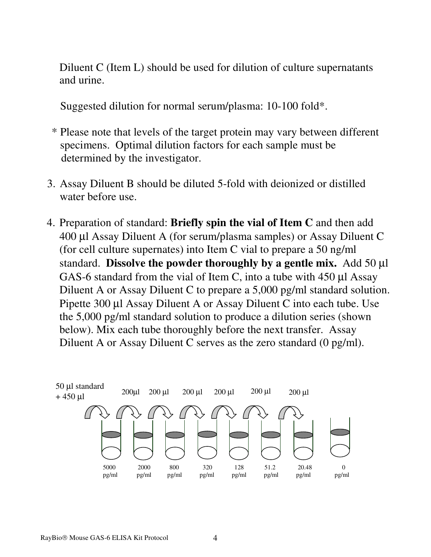Diluent C (Item L) should be used for dilution of culture supernatants and urine.

Suggested dilution for normal serum/plasma: 10-100 fold\*.

- \* Please note that levels of the target protein may vary between different specimens. Optimal dilution factors for each sample must be determined by the investigator.
- 3. Assay Diluent B should be diluted 5-fold with deionized or distilled water before use.
- 4. Preparation of standard: **Briefly spin the vial of Item C** and then add 400 µl Assay Diluent A (for serum/plasma samples) or Assay Diluent C (for cell culture supernates) into Item C vial to prepare a 50 ng/ml standard. **Dissolve the powder thoroughly by a gentle mix.** Add 50 µl GAS-6 standard from the vial of Item C, into a tube with 450 µl Assay Diluent A or Assay Diluent C to prepare a 5,000 pg/ml standard solution. Pipette 300 µl Assay Diluent A or Assay Diluent C into each tube. Use the 5,000 pg/ml standard solution to produce a dilution series (shown below). Mix each tube thoroughly before the next transfer. Assay Diluent A or Assay Diluent C serves as the zero standard (0 pg/ml).

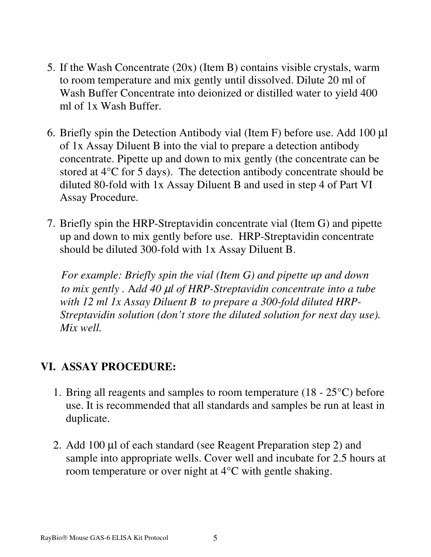- 5. If the Wash Concentrate (20x) (Item B) contains visible crystals, warm to room temperature and mix gently until dissolved. Dilute 20 ml of Wash Buffer Concentrate into deionized or distilled water to yield 400 ml of 1x Wash Buffer.
- 6. Briefly spin the Detection Antibody vial (Item F) before use. Add 100 µl of 1x Assay Diluent B into the vial to prepare a detection antibody concentrate. Pipette up and down to mix gently (the concentrate can be stored at 4°C for 5 days). The detection antibody concentrate should be diluted 80-fold with 1x Assay Diluent B and used in step 4 of Part VI Assay Procedure.
- 7. Briefly spin the HRP-Streptavidin concentrate vial (Item G) and pipette up and down to mix gently before use. HRP-Streptavidin concentrate should be diluted 300-fold with 1x Assay Diluent B.

 *For example: Briefly spin the vial (Item G) and pipette up and down to mix gently .* A*dd 40* µ*l of HRP-Streptavidin concentrate into a tube with 12 ml 1x Assay Diluent B to prepare a 300-fold diluted HRP- Streptavidin solution (don't store the diluted solution for next day use). Mix well.*

#### **VI. ASSAY PROCEDURE:**

- 1. Bring all reagents and samples to room temperature  $(18 25^{\circ}C)$  before use. It is recommended that all standards and samples be run at least in duplicate.
- 2. Add 100 µl of each standard (see Reagent Preparation step 2) and sample into appropriate wells. Cover well and incubate for 2.5 hours at room temperature or over night at 4°C with gentle shaking.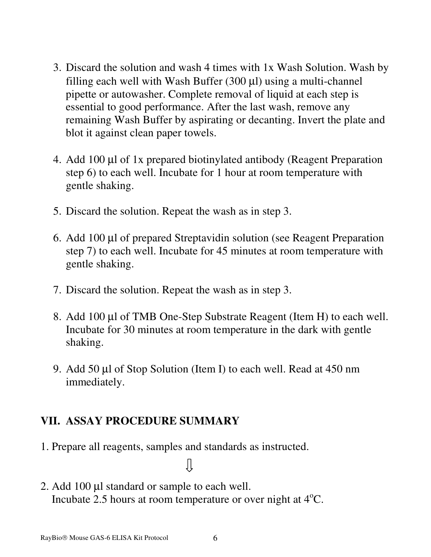- 3. Discard the solution and wash 4 times with 1x Wash Solution. Wash by filling each well with Wash Buffer  $(300 \mu l)$  using a multi-channel pipette or autowasher. Complete removal of liquid at each step is essential to good performance. After the last wash, remove any remaining Wash Buffer by aspirating or decanting. Invert the plate and blot it against clean paper towels.
- 4. Add 100 µl of 1x prepared biotinylated antibody (Reagent Preparation step 6) to each well. Incubate for 1 hour at room temperature with gentle shaking.
- 5. Discard the solution. Repeat the wash as in step 3.
- 6. Add 100 µl of prepared Streptavidin solution (see Reagent Preparation step 7) to each well. Incubate for 45 minutes at room temperature with gentle shaking.
- 7. Discard the solution. Repeat the wash as in step 3.
- 8. Add 100 µl of TMB One-Step Substrate Reagent (Item H) to each well. Incubate for 30 minutes at room temperature in the dark with gentle shaking.
- 9. Add 50 µl of Stop Solution (Item I) to each well. Read at 450 nm immediately.

#### **VII. ASSAY PROCEDURE SUMMARY**

- 1. Prepare all reagents, samples and standards as instructed.
- 2. Add 100 µl standard or sample to each well. Incubate 2.5 hours at room temperature or over night at  $4^{\circ}C$ .

ſļ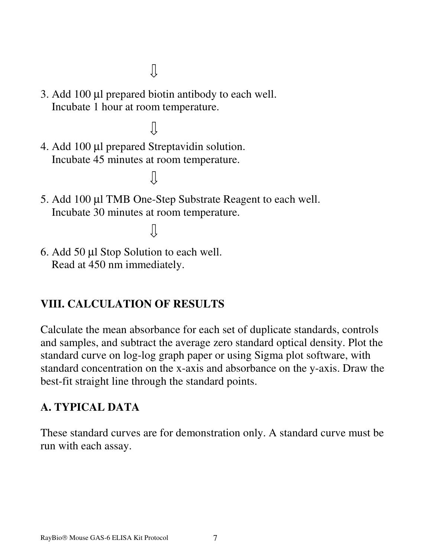$\downarrow$ 

- 3. Add 100 µl prepared biotin antibody to each well. Incubate 1 hour at room temperature.
	- Ίì

 $\overline{\mathbf{u}}$ 

 $\prod$ 

- 4. Add 100 µl prepared Streptavidin solution. Incubate 45 minutes at room temperature.
- 5. Add 100 µl TMB One-Step Substrate Reagent to each well. Incubate 30 minutes at room temperature.

6. Add 50 µl Stop Solution to each well. Read at 450 nm immediately.

# **VIII. CALCULATION OF RESULTS**

Calculate the mean absorbance for each set of duplicate standards, controls and samples, and subtract the average zero standard optical density. Plot the standard curve on log-log graph paper or using Sigma plot software, with standard concentration on the x-axis and absorbance on the y-axis. Draw the best-fit straight line through the standard points.

#### **A. TYPICAL DATA**

These standard curves are for demonstration only. A standard curve must be run with each assay.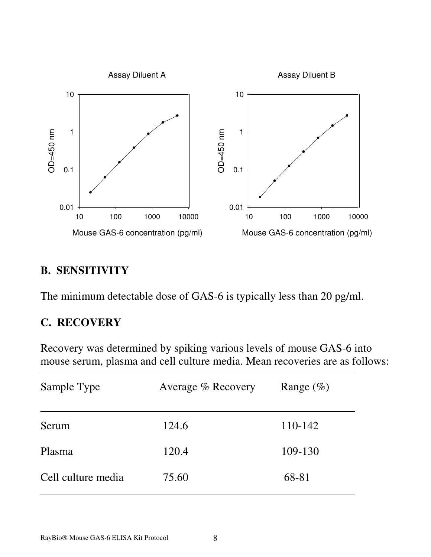

#### **B. SENSITIVITY**

The minimum detectable dose of GAS-6 is typically less than 20 pg/ml.

#### **C. RECOVERY**

Recovery was determined by spiking various levels of mouse GAS-6 into mouse serum, plasma and cell culture media. Mean recoveries are as follows:

| Sample Type        | Average % Recovery | Range $(\%)$ |
|--------------------|--------------------|--------------|
| Serum              | 124.6              | 110-142      |
| Plasma             | 120.4              | 109-130      |
| Cell culture media | 75.60              | 68-81        |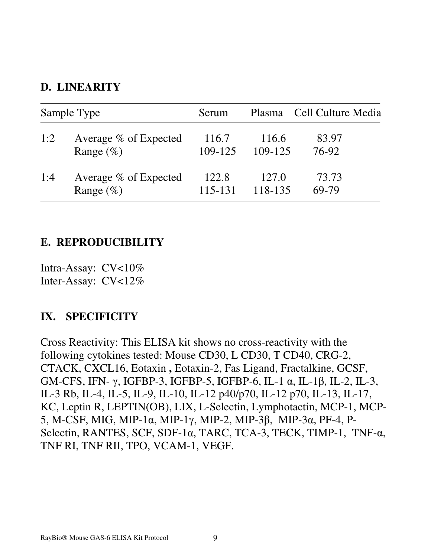#### **D. LINEARITY**

| Sample Type |                       | Serum   |         | Plasma Cell Culture Media |
|-------------|-----------------------|---------|---------|---------------------------|
| 1:2         | Average % of Expected | 116.7   | 116.6   | 83.97                     |
|             | Range $(\%)$          | 109-125 | 109-125 | 76-92                     |
| 1:4         | Average % of Expected | 122.8   | 127.0   | 73.73                     |
|             | Range $(\%)$          | 115-131 | 118-135 | 69-79                     |

#### **E. REPRODUCIBILITY**

Intra-Assay: CV<10% Inter-Assay: CV<12%

#### **IX. SPECIFICITY**

Cross Reactivity: This ELISA kit shows no cross-reactivity with the following cytokines tested: Mouse CD30, L CD30, T CD40, CRG-2, CTACK, CXCL16, Eotaxin **,** Eotaxin-2, Fas Ligand, Fractalkine, GCSF, GM-CFS, IFN- γ, IGFBP-3, IGFBP-5, IGFBP-6, IL-1 α, IL-1β, IL-2, IL-3, IL-3 Rb, IL-4, IL-5, IL-9, IL-10, IL-12 p40/p70, IL-12 p70, IL-13, IL-17, KC, Leptin R, LEPTIN(OB), LIX, L-Selectin, Lymphotactin, MCP-1, MCP-5, M-CSF, MIG, MIP-1α, MIP-1γ, MIP-2, MIP-3β, MIP-3α, PF-4, P-Selectin, RANTES, SCF, SDF-1 $\alpha$ , TARC, TCA-3, TECK, TIMP-1, TNF- $\alpha$ , TNF RI, TNF RII, TPO, VCAM-1, VEGF.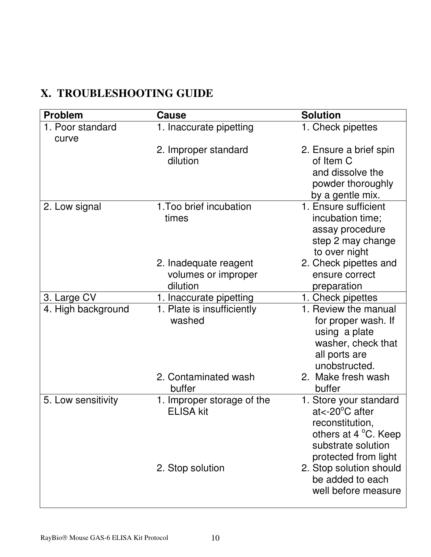# **X. TROUBLESHOOTING GUIDE**

| <b>Problem</b>     | <b>Cause</b>                                             | <b>Solution</b>                                                                                                                               |
|--------------------|----------------------------------------------------------|-----------------------------------------------------------------------------------------------------------------------------------------------|
| 1. Poor standard   | 1. Inaccurate pipetting                                  | 1. Check pipettes                                                                                                                             |
| curve              | 2. Improper standard<br>dilution                         | 2. Ensure a brief spin<br>of Item C<br>and dissolve the<br>powder thoroughly<br>by a gentle mix.                                              |
| 2. Low signal      | 1. Too brief incubation<br>times                         | 1. Ensure sufficient<br>incubation time;<br>assay procedure<br>step 2 may change<br>to over night                                             |
|                    | 2. Inadequate reagent<br>volumes or improper<br>dilution | 2. Check pipettes and<br>ensure correct<br>preparation                                                                                        |
| 3. Large CV        | 1. Inaccurate pipetting                                  | 1. Check pipettes                                                                                                                             |
| 4. High background | 1. Plate is insufficiently<br>washed                     | 1. Review the manual<br>for proper wash. If<br>using a plate<br>washer, check that<br>all ports are<br>unobstructed.                          |
|                    | 2. Contaminated wash<br>buffer                           | 2. Make fresh wash<br>buffer                                                                                                                  |
| 5. Low sensitivity | 1. Improper storage of the<br><b>ELISA kit</b>           | 1. Store your standard<br>$at < -20^{\circ}$ C after<br>reconstitution,<br>others at 4 °C. Keep<br>substrate solution<br>protected from light |
|                    | 2. Stop solution                                         | 2. Stop solution should<br>be added to each<br>well before measure                                                                            |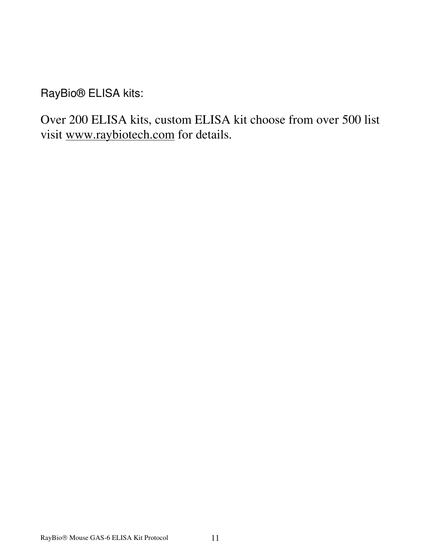RayBio® ELISA kits:

Over 200 ELISA kits, custom ELISA kit choose from over 500 list visit www.raybiotech.com for details.